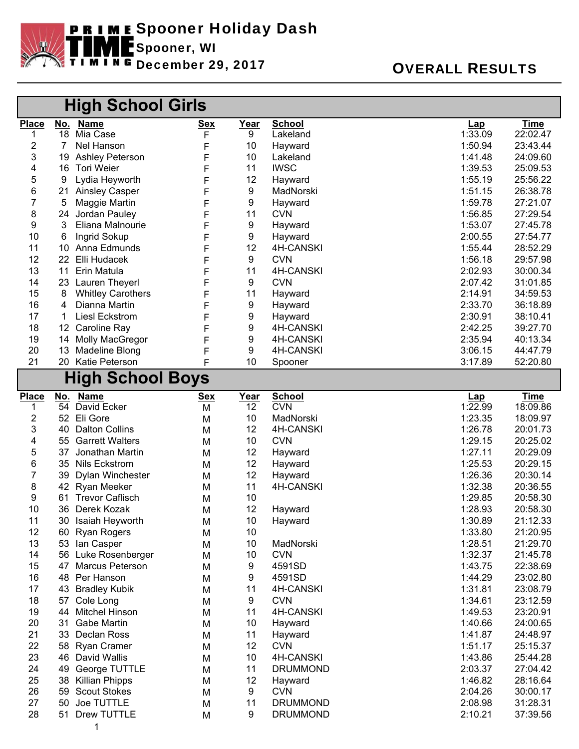

## December 29, 2017 OVERALL RESULTS

|                         |                      | <b>High School Girls</b>     |                 |                         |                             |                              |                         |
|-------------------------|----------------------|------------------------------|-----------------|-------------------------|-----------------------------|------------------------------|-------------------------|
| <b>Place</b>            |                      | No. Name                     | <u>Sex</u>      | <u>Year</u>             | <b>School</b>               | <u>Lap</u>                   | <u>Time</u>             |
| 1                       | 18                   | Mia Case                     | F               | 9                       | Lakeland                    | 1:33.09                      | 22:02.47                |
| 2                       | 7                    | Nel Hanson                   | F               | 10                      | Hayward                     | 1:50.94                      | 23:43.44                |
| 3                       | 19                   | <b>Ashley Peterson</b>       | F               | 10                      | Lakeland                    | 1:41.48                      | 24:09.60                |
| 4                       | 16                   | Tori Weier                   | F               | 11                      | <b>IWSC</b>                 | 1:39.53                      | 25:09.53                |
| 5                       | 9                    | Lydia Heyworth               | F               | 12                      | Hayward                     | 1:55.19                      | 25:56.22                |
| 6                       | 21                   | <b>Ainsley Casper</b>        | F               | 9                       | MadNorski                   | 1:51.15                      | 26:38.78                |
| 7                       | 5                    | Maggie Martin                | F               | 9                       | Hayward                     | 1:59.78                      | 27:21.07                |
| 8                       | 24                   | Jordan Pauley                | F               | 11                      | <b>CVN</b>                  | 1:56.85                      | 27:29.54                |
| 9                       | 3                    | Eliana Malnourie             | F               | 9                       | Hayward                     | 1:53.07                      | 27:45.78                |
| 10                      | 6<br>10 <sup>°</sup> | Ingrid Sokup                 | F               | 9<br>12                 | Hayward                     | 2:00.55                      | 27:54.77                |
| 11<br>12                | 22 <sub>2</sub>      | Anna Edmunds<br>Elli Hudacek | F               | 9                       | 4H-CANSKI<br><b>CVN</b>     | 1:55.44<br>1:56.18           | 28:52.29<br>29:57.98    |
| 13                      | 11                   | Erin Matula                  | F               | 11                      | 4H-CANSKI                   | 2:02.93                      | 30:00.34                |
| 14                      | 23                   | <b>Lauren Theyerl</b>        | F<br>F          | 9                       | <b>CVN</b>                  | 2:07.42                      | 31:01.85                |
| 15                      | 8                    | <b>Whitley Carothers</b>     | F               | 11                      | Hayward                     | 2:14.91                      | 34:59.53                |
| 16                      | 4                    | Dianna Martin                | F               | 9                       | Hayward                     | 2:33.70                      | 36:18.89                |
| 17                      | $\mathbf 1$          | <b>Liesl Eckstrom</b>        | F               | 9                       | Hayward                     | 2:30.91                      | 38:10.41                |
| 18                      |                      | 12 Caroline Ray              | F               | 9                       | 4H-CANSKI                   | 2:42.25                      | 39:27.70                |
| 19                      | 14                   | <b>Molly MacGregor</b>       | F               | 9                       | 4H-CANSKI                   | 2:35.94                      | 40:13.34                |
| 20                      | 13                   | <b>Madeline Blong</b>        | F               | 9                       | 4H-CANSKI                   | 3:06.15                      | 44:47.79                |
| 21                      | 20                   | Katie Peterson               | F               | 10                      | Spooner                     | 3:17.89                      | 52:20.80                |
| <b>High School Boys</b> |                      |                              |                 |                         |                             |                              |                         |
|                         |                      |                              |                 |                         |                             |                              |                         |
| <b>Place</b><br>1       | 54                   | No. Name<br>David Ecker      | <u>Sex</u><br>M | Year<br>$\overline{12}$ | <b>School</b><br><b>CVN</b> | $\frac{\text{Lap}}{1:22.99}$ | <b>Time</b><br>18:09.86 |
| 2                       | 52                   | Eli Gore                     | M               | 10                      | MadNorski                   | 1:23.35                      | 18:09.97                |
| 3                       | 40                   | <b>Dalton Collins</b>        | M               | 12                      | 4H-CANSKI                   | 1:26.78                      | 20:01.73                |
| 4                       | 55                   | <b>Garrett Walters</b>       | M               | 10                      | <b>CVN</b>                  | 1:29.15                      | 20:25.02                |
| 5                       | 37                   | Jonathan Martin              | M               | 12                      | Hayward                     | 1:27.11                      | 20:29.09                |
| 6                       | 35                   | <b>Nils Eckstrom</b>         | M               | 12                      | Hayward                     | 1:25.53                      | 20:29.15                |
| 7                       | 39                   | Dylan Winchester             | M               | 12                      | Hayward                     | 1:26.36                      | 20:30.14                |
| 8                       |                      | 42 Ryan Meeker               | M               | 11                      | 4H-CANSKI                   | 1:32.38                      | 20:36.55                |
| 9                       | 61                   | <b>Trevor Caflisch</b>       | M               | 10                      |                             | 1:29.85                      | 20:58.30                |
| 10                      | 36                   | Derek Kozak                  | M               | 12                      | Hayward                     | 1:28.93                      | 20:58.30                |
| 11                      |                      | 30 Isaiah Heyworth           | M               | 10                      | Hayward                     | 1:30.89                      | 21:12.33                |
| 12                      |                      | 60 Ryan Rogers               | M               | 10                      |                             | 1:33.80                      | 21:20.95                |
| 13                      | 53                   | lan Casper                   | M               | 10                      | MadNorski                   | 1:28.51                      | 21:29.70                |
| 14                      | 56                   | Luke Rosenberger             | M               | 10                      | <b>CVN</b>                  | 1:32.37                      | 21:45.78                |
| 15                      | 47                   | <b>Marcus Peterson</b>       | M               | 9                       | 4591SD                      | 1:43.75                      | 22:38.69                |
| 16                      | 48                   | Per Hanson                   | M               | 9                       | 4591SD                      | 1:44.29                      | 23:02.80                |
| 17                      | 43                   | <b>Bradley Kubik</b>         | M               | 11                      | 4H-CANSKI                   | 1:31.81                      | 23:08.79                |
| 18                      | 57                   | Cole Long                    | M               | 9                       | <b>CVN</b>                  | 1:34.61                      | 23:12.59                |
| 19                      | 44                   | <b>Mitchel Hinson</b>        | M               | 11                      | 4H-CANSKI                   | 1:49.53                      | 23:20.91                |
| 20                      | 31                   | <b>Gabe Martin</b>           | M               | 10                      | Hayward                     | 1:40.66                      | 24:00.65                |
| 21                      | 33                   | Declan Ross                  | M               | 11                      | Hayward                     | 1:41.87                      | 24:48.97                |
| 22                      | 58                   | <b>Ryan Cramer</b>           | M               | 12                      | <b>CVN</b>                  | 1:51.17                      | 25:15.37                |
| 23                      | 46                   | David Wallis                 | M               | 10                      | 4H-CANSKI                   | 1:43.86                      | 25:44.28                |
| 24                      | 49                   | George TUTTLE                | M               | 11                      | <b>DRUMMOND</b>             | 2:03.37                      | 27:04.42                |
| 25                      | 38                   | <b>Killian Phipps</b>        | M               | 12                      | Hayward                     | 1:46.82                      | 28:16.64                |
| 26                      | 59                   | <b>Scout Stokes</b>          | M               | 9                       | <b>CVN</b>                  | 2:04.26                      | 30:00.17                |
| 27                      | 50                   | Joe TUTTLE                   | M               | 11                      | <b>DRUMMOND</b>             | 2:08.98                      | 31:28.31                |
| 28                      |                      | 51 Drew TUTTLE               | M               | 9                       | <b>DRUMMOND</b>             | 2:10.21                      | 37:39.56                |